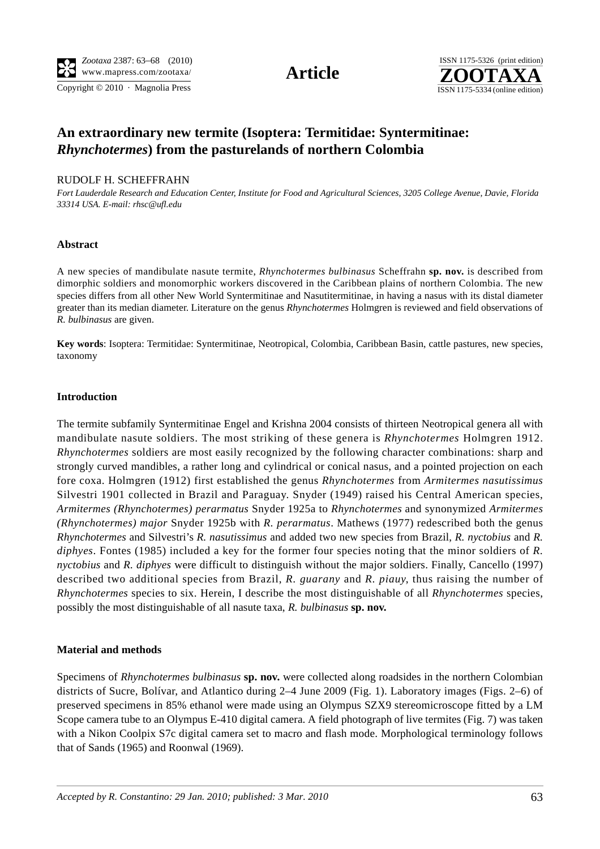Copyright  $© 2010$  · Magnolia Press ISSN 1175-5334 (online edition)



# **An extraordinary new termite (Isoptera: Termitidae: Syntermitinae:**  *Rhynchotermes***) from the pasturelands of northern Colombia**

# RUDOLF H. SCHEFFRAHN

*Fort Lauderdale Research and Education Center, Institute for Food and Agricultural Sciences, 3205 College Avenue, Davie, Florida 33314 USA. E-mail: rhsc@ufl.edu*

# **Abstract**

A new species of mandibulate nasute termite, *Rhynchotermes bulbinasus* Scheffrahn **sp. nov.** is described from dimorphic soldiers and monomorphic workers discovered in the Caribbean plains of northern Colombia. The new species differs from all other New World Syntermitinae and Nasutitermitinae, in having a nasus with its distal diameter greater than its median diameter. Literature on the genus *Rhynchotermes* Holmgren is reviewed and field observations of *R. bulbinasus* are given.

**Key words**: Isoptera: Termitidae: Syntermitinae, Neotropical, Colombia, Caribbean Basin, cattle pastures, new species, taxonomy

# **Introduction**

The termite subfamily Syntermitinae Engel and Krishna 2004 consists of thirteen Neotropical genera all with mandibulate nasute soldiers. The most striking of these genera is *Rhynchotermes* Holmgren 1912. *Rhynchotermes* soldiers are most easily recognized by the following character combinations: sharp and strongly curved mandibles, a rather long and cylindrical or conical nasus, and a pointed projection on each fore coxa. Holmgren (1912) first established the genus *Rhynchotermes* from *Armitermes nasutissimus* Silvestri 1901 collected in Brazil and Paraguay. Snyder (1949) raised his Central American species, *Armitermes (Rhynchotermes) perarmatus* Snyder 1925a to *Rhynchotermes* and synonymized *Armitermes (Rhynchotermes) major* Snyder 1925b with *R. perarmatus*. Mathews (1977) redescribed both the genus *Rhynchotermes* and Silvestri's *R. nasutissimus* and added two new species from Brazil, *R. nyctobius* and *R. diphyes*. Fontes (1985) included a key for the former four species noting that the minor soldiers of *R. nyctobius* and *R. diphyes* were difficult to distinguish without the major soldiers. Finally, Cancello (1997) described two additional species from Brazil, *R. guarany* and *R. piauy*, thus raising the number of *Rhynchotermes* species to six. Herein, I describe the most distinguishable of all *Rhynchotermes* species, possibly the most distinguishable of all nasute taxa, *R. bulbinasus* **sp. nov.**

# **Material and methods**

Specimens of *Rhynchotermes bulbinasus* **sp. nov.** were collected along roadsides in the northern Colombian districts of Sucre, Bolívar, and Atlantico during 2–4 June 2009 (Fig. 1). Laboratory images (Figs. 2–6) of preserved specimens in 85% ethanol were made using an Olympus SZX9 stereomicroscope fitted by a LM Scope camera tube to an Olympus E-410 digital camera. A field photograph of live termites (Fig. 7) was taken with a Nikon Coolpix S7c digital camera set to macro and flash mode. Morphological terminology follows that of Sands (1965) and Roonwal (1969).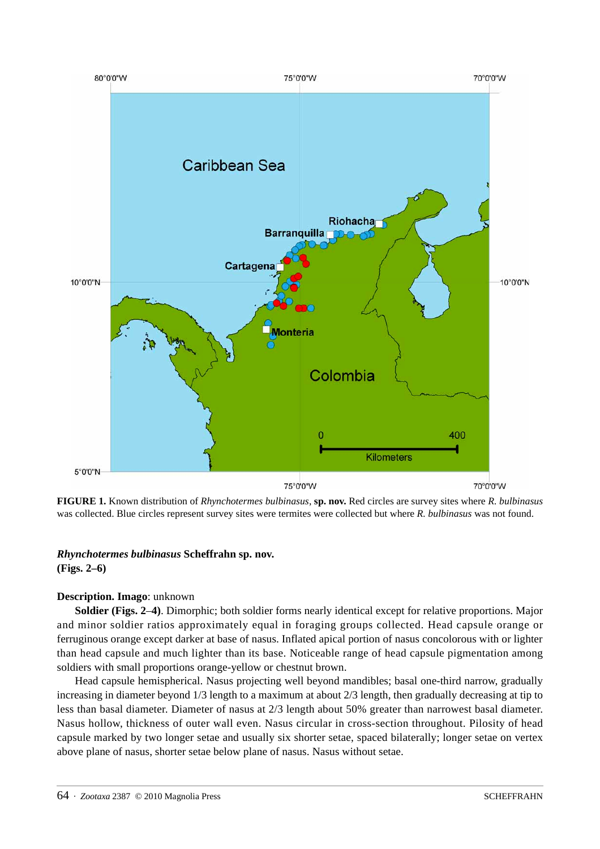

**FIGURE 1.** Known distribution of *Rhynchotermes bulbinasus*, **sp. nov.** Red circles are survey sites where *R. bulbinasus* was collected. Blue circles represent survey sites were termites were collected but where *R. bulbinasus* was not found.

# *Rhynchotermes bulbinasus* **Scheffrahn sp. nov. (Figs. 2–6)**

# **Description. Imago**: unknown

**Soldier (Figs. 2**–**4)**. Dimorphic; both soldier forms nearly identical except for relative proportions. Major and minor soldier ratios approximately equal in foraging groups collected. Head capsule orange or ferruginous orange except darker at base of nasus. Inflated apical portion of nasus concolorous with or lighter than head capsule and much lighter than its base. Noticeable range of head capsule pigmentation among soldiers with small proportions orange-yellow or chestnut brown.

Head capsule hemispherical. Nasus projecting well beyond mandibles; basal one-third narrow, gradually increasing in diameter beyond 1/3 length to a maximum at about 2/3 length, then gradually decreasing at tip to less than basal diameter. Diameter of nasus at 2/3 length about 50% greater than narrowest basal diameter. Nasus hollow, thickness of outer wall even. Nasus circular in cross-section throughout. Pilosity of head capsule marked by two longer setae and usually six shorter setae, spaced bilaterally; longer setae on vertex above plane of nasus, shorter setae below plane of nasus. Nasus without setae.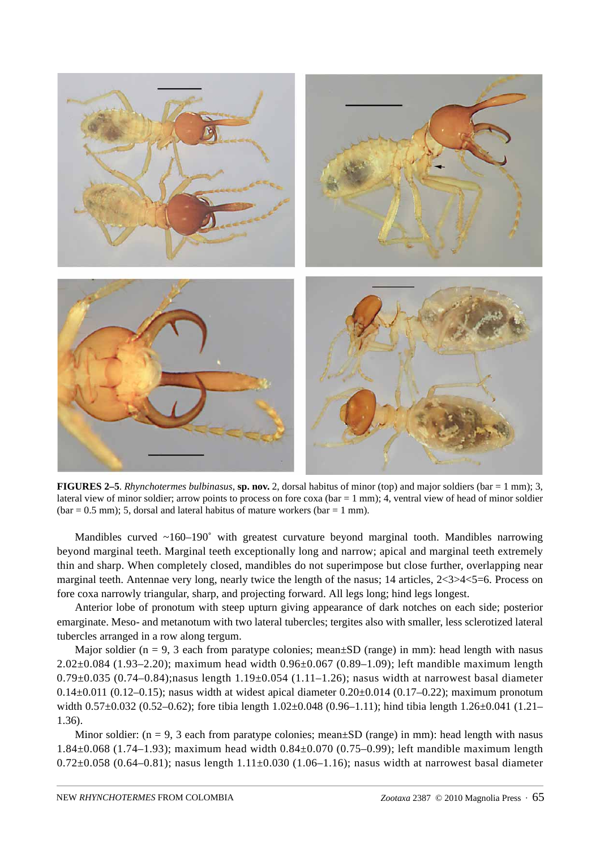

**FIGURES 2–5**. *Rhynchotermes bulbinasus*, **sp. nov.** 2, dorsal habitus of minor (top) and major soldiers (bar = 1 mm); 3, lateral view of minor soldier; arrow points to process on fore  $\cos a$  (bar = 1 mm); 4, ventral view of head of minor soldier  $(bar = 0.5$  mm); 5, dorsal and lateral habitus of mature workers  $(bar = 1$  mm).

Mandibles curved  $\sim 160-190^\circ$  with greatest curvature beyond marginal tooth. Mandibles narrowing beyond marginal teeth. Marginal teeth exceptionally long and narrow; apical and marginal teeth extremely thin and sharp. When completely closed, mandibles do not superimpose but close further, overlapping near marginal teeth. Antennae very long, nearly twice the length of the nasus; 14 articles, 2<3>4<5=6. Process on fore coxa narrowly triangular, sharp, and projecting forward. All legs long; hind legs longest.

Anterior lobe of pronotum with steep upturn giving appearance of dark notches on each side; posterior emarginate. Meso- and metanotum with two lateral tubercles; tergites also with smaller, less sclerotized lateral tubercles arranged in a row along tergum.

Major soldier ( $n = 9$ , 3 each from paratype colonies; mean $\pm SD$  (range) in mm): head length with nasus 2.02±0.084 (1.93–2.20); maximum head width 0.96±0.067 (0.89–1.09); left mandible maximum length 0.79 $\pm$ 0.035 (0.74–0.84); nasus length 1.19 $\pm$ 0.054 (1.11–1.26); nasus width at narrowest basal diameter 0.14 $\pm$ 0.011 (0.12–0.15); nasus width at widest apical diameter 0.20 $\pm$ 0.014 (0.17–0.22); maximum pronotum width  $0.57\pm0.032$  (0.52–0.62); fore tibia length  $1.02\pm0.048$  (0.96–1.11); hind tibia length  $1.26\pm0.041$  (1.21– 1.36).

Minor soldier:  $(n = 9, 3 \text{ each from partype colonies; mean \pm SD (range) in mm)}$ : head length with nasus 1.84±0.068 (1.74–1.93); maximum head width 0.84±0.070 (0.75–0.99); left mandible maximum length 0.72 $\pm$ 0.058 (0.64–0.81); nasus length 1.11 $\pm$ 0.030 (1.06–1.16); nasus width at narrowest basal diameter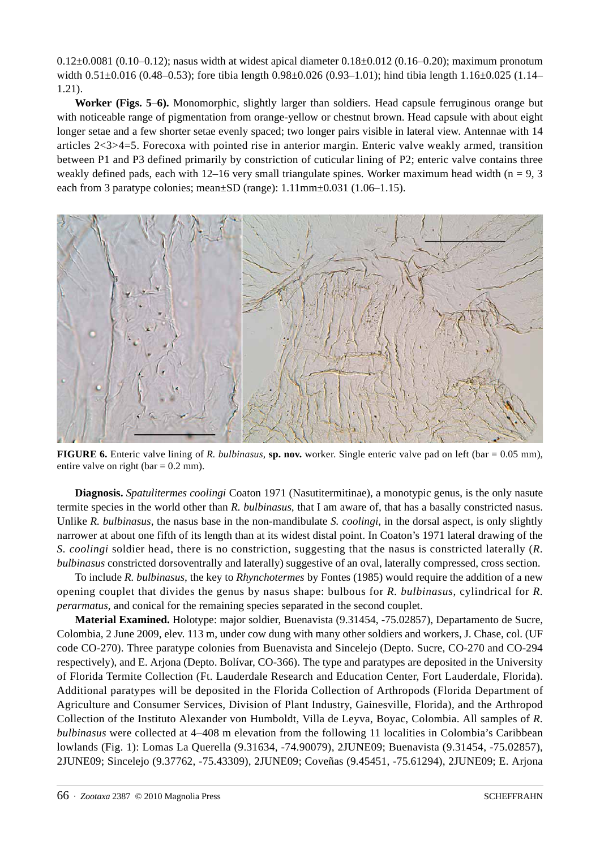0.12±0.0081 (0.10–0.12); nasus width at widest apical diameter 0.18±0.012 (0.16–0.20); maximum pronotum width 0.51±0.016 (0.48–0.53); fore tibia length 0.98±0.026 (0.93–1.01); hind tibia length 1.16±0.025 (1.14– 1.21).

**Worker (Figs. 5**–**6).** Monomorphic, slightly larger than soldiers. Head capsule ferruginous orange but with noticeable range of pigmentation from orange-yellow or chestnut brown. Head capsule with about eight longer setae and a few shorter setae evenly spaced; two longer pairs visible in lateral view. Antennae with 14 articles 2<3>4=5. Forecoxa with pointed rise in anterior margin. Enteric valve weakly armed, transition between P1 and P3 defined primarily by constriction of cuticular lining of P2; enteric valve contains three weakly defined pads, each with 12–16 very small triangulate spines. Worker maximum head width ( $n = 9, 3$ ) each from 3 paratype colonies; mean±SD (range): 1.11mm±0.031 (1.06–1.15).



**FIGURE 6.** Enteric valve lining of *R. bulbinasus*, **sp. nov.** worker. Single enteric valve pad on left (bar = 0.05 mm), entire valve on right ( $bar = 0.2$  mm).

**Diagnosis.** *Spatulitermes coolingi* Coaton 1971 (Nasutitermitinae), a monotypic genus, is the only nasute termite species in the world other than *R. bulbinasus*, that I am aware of, that has a basally constricted nasus. Unlike *R. bulbinasus*, the nasus base in the non-mandibulate *S. coolingi*, in the dorsal aspect, is only slightly narrower at about one fifth of its length than at its widest distal point. In Coaton's 1971 lateral drawing of the *S. coolingi* soldier head, there is no constriction, suggesting that the nasus is constricted laterally (*R. bulbinasus* constricted dorsoventrally and laterally) suggestive of an oval, laterally compressed, cross section.

To include *R. bulbinasus*, the key to *Rhynchotermes* by Fontes (1985) would require the addition of a new opening couplet that divides the genus by nasus shape: bulbous for *R. bulbinasus*, cylindrical for *R. perarmatus*, and conical for the remaining species separated in the second couplet.

**Material Examined.** Holotype: major soldier, Buenavista (9.31454, -75.02857), Departamento de Sucre, Colombia, 2 June 2009, elev. 113 m, under cow dung with many other soldiers and workers, J. Chase, col. (UF code CO-270). Three paratype colonies from Buenavista and Sincelejo (Depto. Sucre, CO-270 and CO-294 respectively), and E. Arjona (Depto. Bolívar, CO-366). The type and paratypes are deposited in the University of Florida Termite Collection (Ft. Lauderdale Research and Education Center, Fort Lauderdale, Florida). Additional paratypes will be deposited in the Florida Collection of Arthropods (Florida Department of Agriculture and Consumer Services, Division of Plant Industry, Gainesville, Florida), and the Arthropod Collection of the Instituto Alexander von Humboldt, Villa de Leyva, Boyac, Colombia. All samples of *R. bulbinasus* were collected at 4–408 m elevation from the following 11 localities in Colombia's Caribbean lowlands (Fig. 1): Lomas La Querella (9.31634, -74.90079), 2JUNE09; Buenavista (9.31454, -75.02857), 2JUNE09; Sincelejo (9.37762, -75.43309), 2JUNE09; Coveñas (9.45451, -75.61294), 2JUNE09; E. Arjona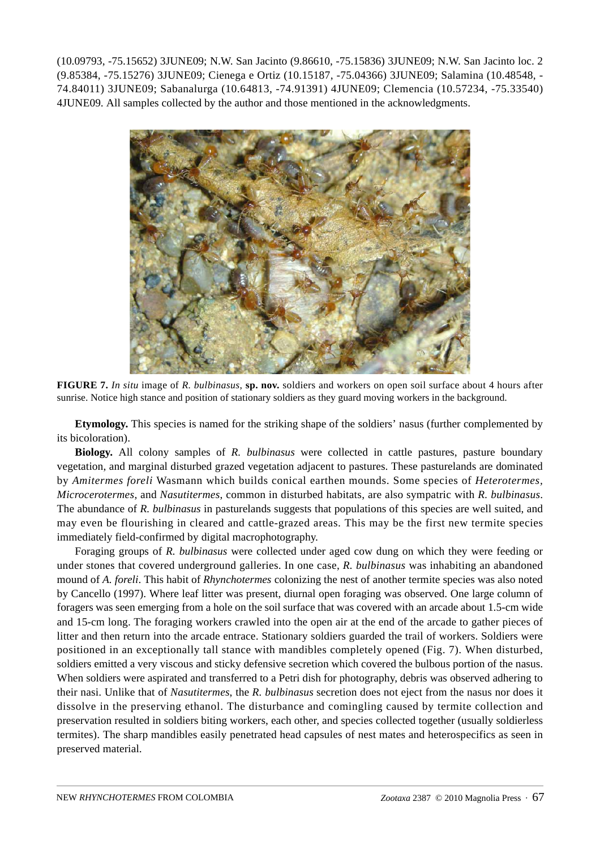(10.09793, -75.15652) 3JUNE09; N.W. San Jacinto (9.86610, -75.15836) 3JUNE09; N.W. San Jacinto loc. 2 (9.85384, -75.15276) 3JUNE09; Cienega e Ortiz (10.15187, -75.04366) 3JUNE09; Salamina (10.48548, - 74.84011) 3JUNE09; Sabanalurga (10.64813, -74.91391) 4JUNE09; Clemencia (10.57234, -75.33540) 4JUNE09. All samples collected by the author and those mentioned in the acknowledgments.



**FIGURE 7.** *In situ* image of *R. bulbinasus*, **sp. nov.** soldiers and workers on open soil surface about 4 hours after sunrise. Notice high stance and position of stationary soldiers as they guard moving workers in the background.

**Etymology.** This species is named for the striking shape of the soldiers' nasus (further complemented by its bicoloration).

**Biology.** All colony samples of *R. bulbinasus* were collected in cattle pastures, pasture boundary vegetation, and marginal disturbed grazed vegetation adjacent to pastures. These pasturelands are dominated by *Amitermes foreli* Wasmann which builds conical earthen mounds. Some species of *Heterotermes, Microcerotermes*, and *Nasutitermes*, common in disturbed habitats, are also sympatric with *R. bulbinasus*. The abundance of *R. bulbinasus* in pasturelands suggests that populations of this species are well suited, and may even be flourishing in cleared and cattle-grazed areas. This may be the first new termite species immediately field-confirmed by digital macrophotography.

Foraging groups of *R. bulbinasus* were collected under aged cow dung on which they were feeding or under stones that covered underground galleries. In one case, *R. bulbinasus* was inhabiting an abandoned mound of *A. foreli*. This habit of *Rhynchotermes* colonizing the nest of another termite species was also noted by Cancello (1997). Where leaf litter was present, diurnal open foraging was observed. One large column of foragers was seen emerging from a hole on the soil surface that was covered with an arcade about 1.5-cm wide and 15-cm long. The foraging workers crawled into the open air at the end of the arcade to gather pieces of litter and then return into the arcade entrace. Stationary soldiers guarded the trail of workers. Soldiers were positioned in an exceptionally tall stance with mandibles completely opened (Fig. 7). When disturbed, soldiers emitted a very viscous and sticky defensive secretion which covered the bulbous portion of the nasus. When soldiers were aspirated and transferred to a Petri dish for photography, debris was observed adhering to their nasi. Unlike that of *Nasutitermes*, the *R. bulbinasus* secretion does not eject from the nasus nor does it dissolve in the preserving ethanol. The disturbance and comingling caused by termite collection and preservation resulted in soldiers biting workers, each other, and species collected together (usually soldierless termites). The sharp mandibles easily penetrated head capsules of nest mates and heterospecifics as seen in preserved material.